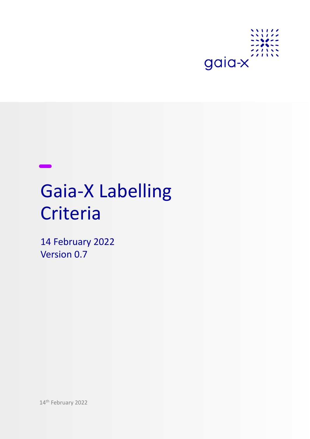

# Gaia-X Labelling **Criteria**

14 February 2022 Version 0.7

14th February 2022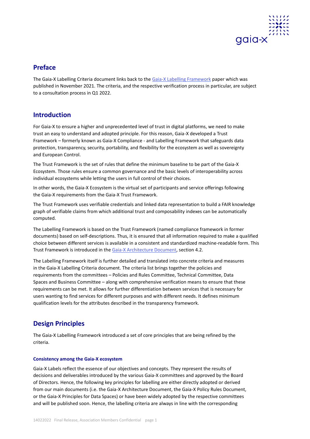

# **Preface**

The Gaia-X Labelling Criteria document links back to the [Gaia-X Labelling Framework](https://gaia-x.eu/sites/default/files/2021-11/Gaia-X%20Labelling%20Framework_0.pdf) paper which was published in November 2021. The criteria, and the respective verification process in particular, are subject to a consultation process in Q1 2022.

# **Introduction**

For Gaia-X to ensure a higher and unprecedented level of trust in digital platforms, we need to make trust an easy to understand and adopted principle. For this reason, Gaia-X developed a Trust Framework – formerly known as Gaia-X Compliance - and Labelling Framework that safeguards data protection, transparency, security, portability, and flexibility for the ecosystem as well as sovereignty and European Control.

The Trust Framework is the set of rules that define the minimum baseline to be part of the Gaia-X Ecosystem. Those rules ensure a common governance and the basic levels of interoperability across individual ecosystems while letting the users in full control of their choices.

In other words, the Gaia-X Ecosystem is the virtual set of participants and service offerings following the Gaia-X requirements from the Gaia-X Trust Framework.

The Trust Framework uses verifiable credentials and linked data representation to build a FAIR knowledge graph of verifiable claims from which additional trust and composability indexes can be automatically computed.

The Labelling Framework is based on the Trust Framework (named compliance framework in former documents) based on self-descriptions. Thus, it is ensured that all information required to make a qualified choice between different services is available in a consistent and standardized machine-readable form. This Trust Framework is introduced in th[e Gaia-X Architecture Document,](https://gaia-x.eu/sites/default/files/2022-01/Gaia-X_Architecture_Document_2112.pdf) section 4.2.

The Labelling Framework itself is further detailed and translated into concrete criteria and measures in the Gaia-X Labelling Criteria document. The criteria list brings together the policies and requirements from the committees – Policies and Rules Committee, Technical Committee, Data Spaces and Business Committee – along with comprehensive verification means to ensure that these requirements can be met. It allows for further differentiation between services that is necessary for users wanting to find services for different purposes and with different needs. It defines minimum qualification levels for the attributes described in the transparency framework.

# **Design Principles**

The Gaia-X Labelling Framework introduced a set of core principles that are being refined by the criteria.

# **Consistency among the Gaia-X ecosystem**

Gaia-X Labels reflect the essence of our objectives and concepts. They represent the results of decisions and deliverables introduced by the various Gaia-X committees and approved by the Board of Directors. Hence, the following key principles for labelling are either directly adopted or derived from our main documents (i.e. the Gaia-X Architecture Document, the Gaia-X Policy Rules Document, or the Gaia-X Principles for Data Spaces) or have been widely adopted by the respective committees and will be published soon. Hence, the labelling criteria are always in line with the corresponding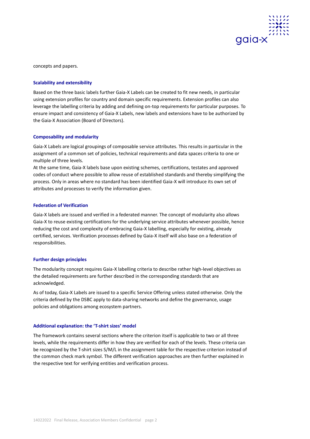

concepts and papers.

# **Scalability and extensibility**

Based on the three basic labels further Gaia-X Labels can be created to fit new needs, in particular using extension profiles for country and domain specific requirements. Extension profiles can also leverage the labelling criteria by adding and defining on-top requirements for particular purposes. To ensure impact and consistency of Gaia-X Labels, new labels and extensions have to be authorized by the Gaia-X Association (Board of Directors).

# **Composability and modularity**

Gaia-X Labels are logical groupings of composable service attributes. This results in particular in the assignment of a common set of policies, technical requirements and data spaces criteria to one or multiple of three levels.

At the same time, Gaia-X labels base upon existing schemes, certifications, testates and approved codes of conduct where possible to allow reuse of established standards and thereby simplifying the process. Only in areas where no standard has been identified Gaia-X will introduce its own set of attributes and processes to verify the information given.

# **Federation of Verification**

Gaia-X labels are issued and verified in a federated manner. The concept of modularity also allows Gaia-X to reuse existing certifications for the underlying service attributes whenever possible, hence reducing the cost and complexity of embracing Gaia-X labelling, especially for existing, already certified, services. Verification processes defined by Gaia-X itself will also base on a federation of responsibilities.

# **Further design principles**

The modularity concept requires Gaia-X labelling criteria to describe rather high-level objectives as the detailed requirements are further described in the corresponding standards that are acknowledged.

As of today, Gaia-X Labels are issued to a specific Service Offering unless stated otherwise. Only the criteria defined by the DSBC apply to data-sharing networks and define the governance, usage policies and obligations among ecosystem partners.

# **Additional explanation: the 'T-shirt sizes' model**

The framework contains several sections where the criterion itself is applicable to two or all three levels, while the requirements differ in how they are verified for each of the levels. These criteria can be recognized by the T-shirt sizes S/M/L in the assignment table for the respective criterion instead of the common check mark symbol. The different verification approaches are then further explained in the respective text for verifying entities and verification process.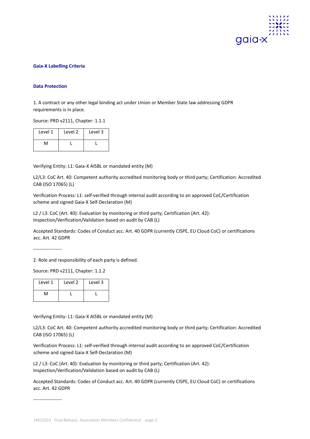

# **Gaia-X Labelling Criteria**

#### **Data Protection**

1. A contract or any other legal binding act under Union or Member State law addressing GDPR requirements is in place.

Source: PRD v2111, Chapter: 1.1.1

| Level 1 | Level <sub>2</sub> | Level 3 |
|---------|--------------------|---------|
| NЛ      |                    |         |

Verifying Entity: L1: Gaia-X AISBL or mandated entity (M)

L2/L3: CoC Art. 40: Competent authority accredited monitoring body or third party; Certification: Accredited CAB (ISO 17065) (L)

Verification Process: L1: self-verified through internal audit according to an approved CoC/Certification scheme and signed Gaia-X Self-Declaration (M)

L2 / L3: CoC (Art. 40): Evaluation by monitoring or third party; Certification (Art. 42): Inspection/Verification/Validation based on audit by CAB (L)

Accepted Standards: Codes of Conduct acc. Art. 40 GDPR (currently CISPE, EU Cloud CoC) or certifications acc. Art. 42 GDPR

------------------

2. Role and responsibility of each party is defined.

Source: PRD v2111, Chapter: 1.1.2

| Level 1 | Level 2 | Level 3 |
|---------|---------|---------|
| N۸      |         |         |

Verifying Entity: L1: Gaia-X AISBL or mandated entity (M)

L2/L3: CoC Art. 40: Competent authority accredited monitoring body or third party; Certification: Accredited CAB (ISO 17065) (L)

Verification Process: L1: self-verified through internal audit according to an approved CoC/Certification scheme and signed Gaia-X Self-Declaration (M)

L2 / L3: CoC (Art. 40): Evaluation by monitoring or third party; Certification (Art. 42): Inspection/Verification/Validation based on audit by CAB (L)

Accepted Standards: Codes of Conduct acc. Art. 40 GDPR (currently CISPE, EU Cloud CoC) or certifications acc. Art. 42 GDPR

------------------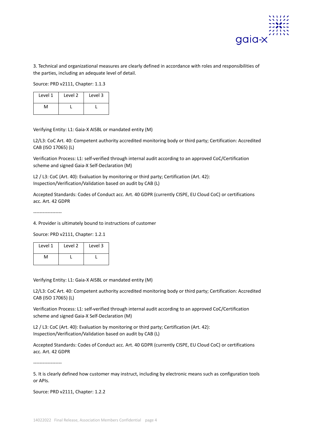

3. Technical and organizational measures are clearly defined in accordance with roles and responsibilities of the parties, including an adequate level of detail.

Source: PRD v2111, Chapter: 1.1.3

| Level 1 | Level 2 | Level 3 |
|---------|---------|---------|
| м       |         |         |

Verifying Entity: L1: Gaia-X AISBL or mandated entity (M)

L2/L3: CoC Art. 40: Competent authority accredited monitoring body or third party; Certification: Accredited CAB (ISO 17065) (L)

Verification Process: L1: self-verified through internal audit according to an approved CoC/Certification scheme and signed Gaia-X Self-Declaration (M)

L2 / L3: CoC (Art. 40): Evaluation by monitoring or third party; Certification (Art. 42): Inspection/Verification/Validation based on audit by CAB (L)

Accepted Standards: Codes of Conduct acc. Art. 40 GDPR (currently CISPE, EU Cloud CoC) or certifications acc. Art. 42 GDPR

------------------

4. Provider is ultimately bound to instructions of customer

Source: PRD v2111, Chapter: 1.2.1

| Level 1 | Level 2 | Level 3 |
|---------|---------|---------|
| м       |         |         |

Verifying Entity: L1: Gaia-X AISBL or mandated entity (M)

L2/L3: CoC Art. 40: Competent authority accredited monitoring body or third party; Certification: Accredited CAB (ISO 17065) (L)

Verification Process: L1: self-verified through internal audit according to an approved CoC/Certification scheme and signed Gaia-X Self-Declaration (M)

L2 / L3: CoC (Art. 40): Evaluation by monitoring or third party; Certification (Art. 42): Inspection/Verification/Validation based on audit by CAB (L)

Accepted Standards: Codes of Conduct acc. Art. 40 GDPR (currently CISPE, EU Cloud CoC) or certifications acc. Art. 42 GDPR

5. It is clearly defined how customer may instruct, including by electronic means such as configuration tools or APIs.

Source: PRD v2111, Chapter: 1.2.2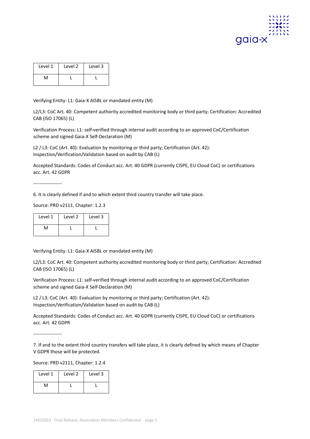

| Level 1 | Level 2 | Level 3 |
|---------|---------|---------|
| ٨٨      |         |         |

L2/L3: CoC Art. 40: Competent authority accredited monitoring body or third party; Certification: Accredited CAB (ISO 17065) (L)

Verification Process: L1: self-verified through internal audit according to an approved CoC/Certification scheme and signed Gaia-X Self-Declaration (M)

L2 / L3: CoC (Art. 40): Evaluation by monitoring or third party; Certification (Art. 42): Inspection/Verification/Validation based on audit by CAB (L)

Accepted Standards: Codes of Conduct acc. Art. 40 GDPR (currently CISPE, EU Cloud CoC) or certifications acc. Art. 42 GDPR

------------------

6. It is clearly defined if and to which extent third country transfer will take place.

Source: PRD v2111, Chapter: 1.2.3

| Level 1 | Level 2 | Level 3 |
|---------|---------|---------|
| N۸      |         |         |

Verifying Entity: L1: Gaia-X AISBL or mandated entity (M)

L2/L3: CoC Art. 40: Competent authority accredited monitoring body or third party; Certification: Accredited CAB (ISO 17065) (L)

Verification Process: L1: self-verified through internal audit according to an approved CoC/Certification scheme and signed Gaia-X Self-Declaration (M)

L2 / L3: CoC (Art. 40): Evaluation by monitoring or third party; Certification (Art. 42): Inspection/Verification/Validation based on audit by CAB (L)

Accepted Standards: Codes of Conduct acc. Art. 40 GDPR (currently CISPE, EU Cloud CoC) or certifications acc. Art. 42 GDPR

------------------

7. If and to the extent third country transfers will take place, it is clearly defined by which means of Chapter V GDPR those will be protected.

Source: PRD v2111, Chapter: 1.2.4

| Level 1 | Level 2 | Level 3 |
|---------|---------|---------|
| ٨л      |         |         |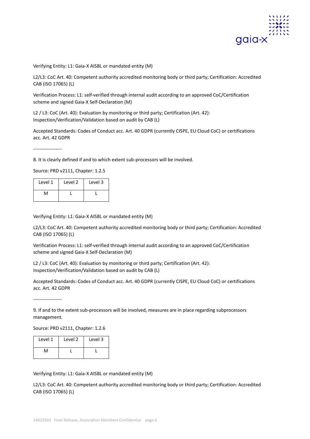

L2/L3: CoC Art. 40: Competent authority accredited monitoring body or third party; Certification: Accredited CAB (ISO 17065) (L)

Verification Process: L1: self-verified through internal audit according to an approved CoC/Certification scheme and signed Gaia-X Self-Declaration (M)

L2 / L3: CoC (Art. 40): Evaluation by monitoring or third party; Certification (Art. 42): Inspection/Verification/Validation based on audit by CAB (L)

Accepted Standards: Codes of Conduct acc. Art. 40 GDPR (currently CISPE, EU Cloud CoC) or certifications acc. Art. 42 GDPR

------------------

8. It is clearly defined if and to which extent sub-processors will be involved.

Source: PRD v2111, Chapter: 1.2.5

| Level 1 | Level 2 | Level 3 |
|---------|---------|---------|
| ٨л      |         |         |

Verifying Entity: L1: Gaia-X AISBL or mandated entity (M)

L2/L3: CoC Art. 40: Competent authority accredited monitoring body or third party; Certification: Accredited CAB (ISO 17065) (L)

Verification Process: L1: self-verified through internal audit according to an approved CoC/Certification scheme and signed Gaia-X Self-Declaration (M)

L2 / L3: CoC (Art. 40): Evaluation by monitoring or third party; Certification (Art. 42): Inspection/Verification/Validation based on audit by CAB (L)

Accepted Standards: Codes of Conduct acc. Art. 40 GDPR (currently CISPE, EU Cloud CoC) or certifications acc. Art. 42 GDPR

------------------

9. If and to the extent sub-processors will be involved, measures are in place regarding subprocessors management.

Source: PRD v2111, Chapter: 1.2.6

| Level 1 | Level 2 | Level 3 |
|---------|---------|---------|
| ٨л      |         |         |

# Verifying Entity: L1: Gaia-X AISBL or mandated entity (M)

L2/L3: CoC Art. 40: Competent authority accredited monitoring body or third party; Certification: Accredited CAB (ISO 17065) (L)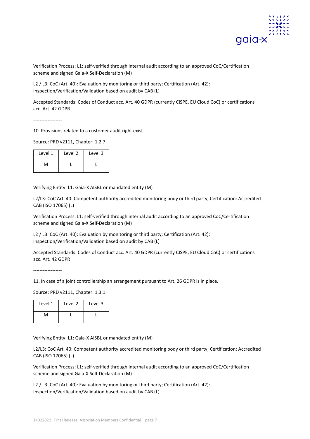

Verification Process: L1: self-verified through internal audit according to an approved CoC/Certification scheme and signed Gaia-X Self-Declaration (M)

L2 / L3: CoC (Art. 40): Evaluation by monitoring or third party; Certification (Art. 42): Inspection/Verification/Validation based on audit by CAB (L)

Accepted Standards: Codes of Conduct acc. Art. 40 GDPR (currently CISPE, EU Cloud CoC) or certifications acc. Art. 42 GDPR

------------------

10. Provisions related to a customer audit right exist.

Source: PRD v2111, Chapter: 1.2.7

| Level 1 | Level 2 | Level 3 |
|---------|---------|---------|
| ٨A      |         |         |

Verifying Entity: L1: Gaia-X AISBL or mandated entity (M)

L2/L3: CoC Art. 40: Competent authority accredited monitoring body or third party; Certification: Accredited CAB (ISO 17065) (L)

Verification Process: L1: self-verified through internal audit according to an approved CoC/Certification scheme and signed Gaia-X Self-Declaration (M)

L2 / L3: CoC (Art. 40): Evaluation by monitoring or third party; Certification (Art. 42): Inspection/Verification/Validation based on audit by CAB (L)

Accepted Standards: Codes of Conduct acc. Art. 40 GDPR (currently CISPE, EU Cloud CoC) or certifications acc. Art. 42 GDPR

------------------

11. In case of a joint controllership an arrangement pursuant to Art. 26 GDPR is in place.

Source: PRD v2111, Chapter: 1.3.1

| Level 1 | Level 2 | Level 3 |
|---------|---------|---------|
| ٨л      |         |         |

Verifying Entity: L1: Gaia-X AISBL or mandated entity (M)

L2/L3: CoC Art. 40: Competent authority accredited monitoring body or third party; Certification: Accredited CAB (ISO 17065) (L)

Verification Process: L1: self-verified through internal audit according to an approved CoC/Certification scheme and signed Gaia-X Self-Declaration (M)

L2 / L3: CoC (Art. 40): Evaluation by monitoring or third party; Certification (Art. 42): Inspection/Verification/Validation based on audit by CAB (L)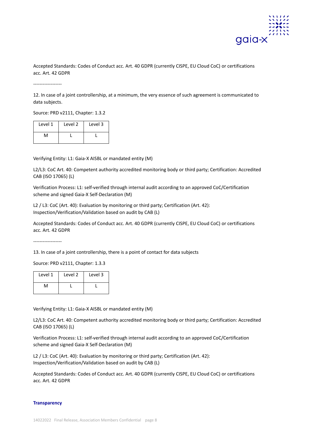

Accepted Standards: Codes of Conduct acc. Art. 40 GDPR (currently CISPE, EU Cloud CoC) or certifications acc. Art. 42 GDPR

------------------

12. In case of a joint controllership, at a minimum, the very essence of such agreement is communicated to data subjects.

Source: PRD v2111, Chapter: 1.3.2

| Level 1 | Level 2 | Level 3 |
|---------|---------|---------|
| м       |         |         |

Verifying Entity: L1: Gaia-X AISBL or mandated entity (M)

L2/L3: CoC Art. 40: Competent authority accredited monitoring body or third party; Certification: Accredited CAB (ISO 17065) (L)

Verification Process: L1: self-verified through internal audit according to an approved CoC/Certification scheme and signed Gaia-X Self-Declaration (M)

L2 / L3: CoC (Art. 40): Evaluation by monitoring or third party; Certification (Art. 42): Inspection/Verification/Validation based on audit by CAB (L)

Accepted Standards: Codes of Conduct acc. Art. 40 GDPR (currently CISPE, EU Cloud CoC) or certifications acc. Art. 42 GDPR

13. In case of a joint controllership, there is a point of contact for data subjects

Source: PRD v2111, Chapter: 1.3.3

| Level 1 | Level 2 | Level 3 |
|---------|---------|---------|
| ٨л      |         |         |

Verifying Entity: L1: Gaia-X AISBL or mandated entity (M)

L2/L3: CoC Art. 40: Competent authority accredited monitoring body or third party; Certification: Accredited CAB (ISO 17065) (L)

Verification Process: L1: self-verified through internal audit according to an approved CoC/Certification scheme and signed Gaia-X Self-Declaration (M)

L2 / L3: CoC (Art. 40): Evaluation by monitoring or third party; Certification (Art. 42): Inspection/Verification/Validation based on audit by CAB (L)

Accepted Standards: Codes of Conduct acc. Art. 40 GDPR (currently CISPE, EU Cloud CoC) or certifications acc. Art. 42 GDPR

# **Transparency**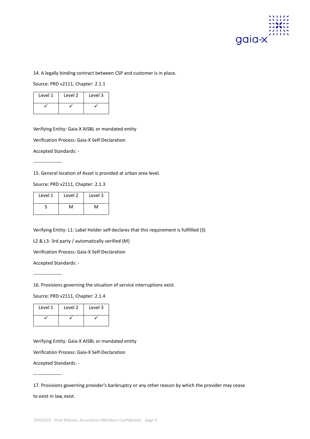

14. A legally binding contract between CSP and customer is in place.

Source: PRD v2111, Chapter: 2.1.1

| Level 1 | Level 2 | Level 3 |
|---------|---------|---------|
|         |         |         |

Verifying Entity: Gaia-X AISBL or mandated entity

Verification Process: Gaia-X Self-Declaration

Accepted Standards: -

------------------

15. General location of Asset is provided at urban area level.

Source: PRD v2111, Chapter: 2.1.3

| Level 1 | Level 2 | Level 3 |
|---------|---------|---------|
|         | ٨л      | ٨A      |

Verifying Entity: L1: Label Holder self-declares that this requirement is fullfilled (S)

L2 & L3: 3rd party / automatically verified (M)

Verification Process: Gaia-X Self-Declaration

Accepted Standards: -

------------------

16. Provisions governing the situation of service interruptions exist.

Source: PRD v2111, Chapter: 2.1.4

| Level 1 | Level 2 | Level 3 |
|---------|---------|---------|
|         |         |         |

Verifying Entity: Gaia-X AISBL or mandated entity

Verification Process: Gaia-X Self-Declaration

Accepted Standards: -

------------------

to exist in law, exist.

<sup>17.</sup> Provisions governing provider's bankruptcy or any other reason by which the provider may cease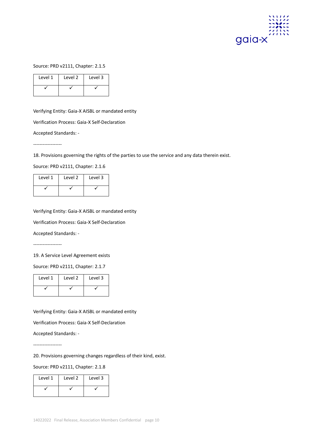

Source: PRD v2111, Chapter: 2.1.5

| Level 1 | Level 2 | Level 3 |
|---------|---------|---------|
|         |         |         |

Verifying Entity: Gaia-X AISBL or mandated entity

Verification Process: Gaia-X Self-Declaration

Accepted Standards: -

------------------

18. Provisions governing the rights of the parties to use the service and any data therein exist.

Source: PRD v2111, Chapter: 2.1.6

| Level 1 | Level 2 | Level 3 |
|---------|---------|---------|
|         |         |         |

Verifying Entity: Gaia-X AISBL or mandated entity

Verification Process: Gaia-X Self-Declaration

Accepted Standards: -

------------------

19. A Service Level Agreement exists

Source: PRD v2111, Chapter: 2.1.7

| Level 1 | Level 2 | Level 3 |
|---------|---------|---------|
|         |         |         |

Verifying Entity: Gaia-X AISBL or mandated entity

Verification Process: Gaia-X Self-Declaration

Accepted Standards: -

------------------

20. Provisions governing changes regardless of their kind, exist.

Source: PRD v2111, Chapter: 2.1.8

| Level 1 | Level 2 | Level 3 |
|---------|---------|---------|
|         |         |         |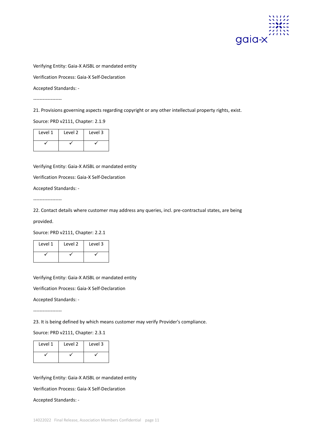

Verification Process: Gaia-X Self-Declaration

Accepted Standards: -

------------------

21. Provisions governing aspects regarding copyright or any other intellectual property rights, exist.

Source: PRD v2111, Chapter: 2.1.9

| Level 1 | Level 2 | Level 3 |
|---------|---------|---------|
|         |         |         |

Verifying Entity: Gaia-X AISBL or mandated entity

Verification Process: Gaia-X Self-Declaration

Accepted Standards: -

------------------

22. Contact details where customer may address any queries, incl. pre-contractual states, are being

provided.

Source: PRD v2111, Chapter: 2.2.1

| Level 1 | Level 2 | Level 3 |
|---------|---------|---------|
|         |         |         |

Verifying Entity: Gaia-X AISBL or mandated entity

Verification Process: Gaia-X Self-Declaration

Accepted Standards: -

------------------

23. It is being defined by which means customer may verify Provider's compliance.

Source: PRD v2111, Chapter: 2.3.1

| Level 1 | Level 2 | Level 3 |
|---------|---------|---------|
|         |         |         |

Verifying Entity: Gaia-X AISBL or mandated entity

Verification Process: Gaia-X Self-Declaration

Accepted Standards: -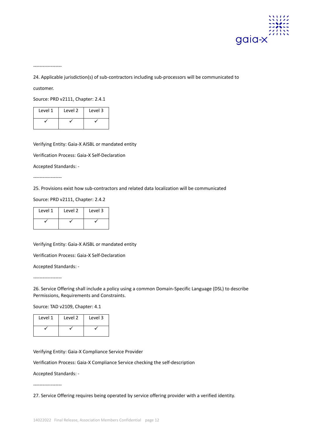

------------------

24. Applicable jurisdiction(s) of sub-contractors including sub-processors will be communicated to

customer.

Source: PRD v2111, Chapter: 2.4.1

| Level 1 | Level 2 | Level 3 |
|---------|---------|---------|
|         |         |         |

Verifying Entity: Gaia-X AISBL or mandated entity

Verification Process: Gaia-X Self-Declaration

Accepted Standards: -

------------------

25. Provisions exist how sub-contractors and related data localization will be communicated

Source: PRD v2111, Chapter: 2.4.2

| Level 1 | Level 2 | Level 3 |
|---------|---------|---------|
|         |         |         |

Verifying Entity: Gaia-X AISBL or mandated entity

Verification Process: Gaia-X Self-Declaration

Accepted Standards: -

------------------

26. Service Offering shall include a policy using a common Domain-Specific Language (DSL) to describe Permissions, Requirements and Constraints.

Source: TAD v2109, Chapter: 4.1

| Level 1 | Level 2 | Level 3 |
|---------|---------|---------|
|         |         |         |

Verifying Entity: Gaia-X Compliance Service Provider

Verification Process: Gaia-X Compliance Service checking the self-description

Accepted Standards: -

------------------

27. Service Offering requires being operated by service offering provider with a verified identity.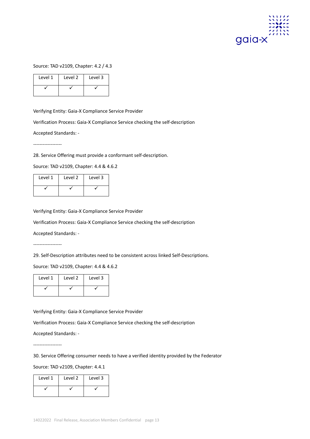

Source: TAD v2109, Chapter: 4.2 / 4.3

| Level 1 | Level 2 | Level 3 |
|---------|---------|---------|
|         |         |         |

Verifying Entity: Gaia-X Compliance Service Provider

Verification Process: Gaia-X Compliance Service checking the self-description

Accepted Standards: -

------------------

28. Service Offering must provide a conformant self-description.

Source: TAD v2109, Chapter: 4.4 & 4.6.2

| Level 1 | Level 2 | Level 3 |
|---------|---------|---------|
|         |         |         |

Verifying Entity: Gaia-X Compliance Service Provider

Verification Process: Gaia-X Compliance Service checking the self-description

Accepted Standards: -

------------------

29. Self-Description attributes need to be consistent across linked Self-Descriptions.

Source: TAD v2109, Chapter: 4.4 & 4.6.2

| Level 1 | Level 2 | Level 3 |
|---------|---------|---------|
|         |         |         |

Verifying Entity: Gaia-X Compliance Service Provider

Verification Process: Gaia-X Compliance Service checking the self-description

Accepted Standards: -

------------------

30. Service Offering consumer needs to have a verified identity provided by the Federator

Source: TAD v2109, Chapter: 4.4.1

| Level 1 | Level 2 | Level 3 |
|---------|---------|---------|
|         |         |         |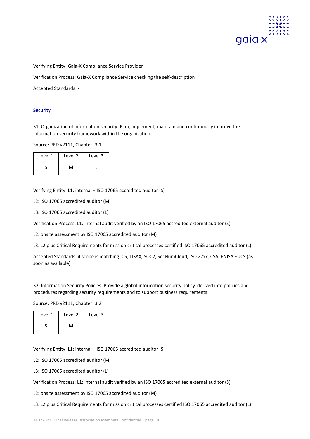

Verifying Entity: Gaia-X Compliance Service Provider

Verification Process: Gaia-X Compliance Service checking the self-description

Accepted Standards: -

# **Security**

31. Organization of information security: Plan, implement, maintain and continuously improve the information security framework within the organisation.

Source: PRD v2111, Chapter: 3.1

| Level 1 | Level 2 | Level 3 |
|---------|---------|---------|
|         | M       |         |

Verifying Entity: L1: internal + ISO 17065 accredited auditor (S)

L2: ISO 17065 accredited auditor (M)

L3: ISO 17065 accredited auditor (L)

Verification Process: L1: internal audit verified by an ISO 17065 accredited external auditor (S)

L2: onsite assessment by ISO 17065 accredited auditor (M)

L3: L2 plus Critical Requirements for mission critical processes certified ISO 17065 accredited auditor (L)

Accepted Standards: if scope is matching: C5, TISAX, SOC2, SecNumCloud, ISO 27xx, CSA, ENISA EUCS (as soon as available)

------------------

32. Information Security Policies: Provide a global information security policy, derived into policies and procedures regarding security requirements and to support business requirements

Source: PRD v2111, Chapter: 3.2

| Level 1 | Level 2 | Level 3 |
|---------|---------|---------|
|         | ٨л      |         |

Verifying Entity: L1: internal + ISO 17065 accredited auditor (S)

L2: ISO 17065 accredited auditor (M)

L3: ISO 17065 accredited auditor (L)

Verification Process: L1: internal audit verified by an ISO 17065 accredited external auditor (S)

L2: onsite assessment by ISO 17065 accredited auditor (M)

L3: L2 plus Critical Requirements for mission critical processes certified ISO 17065 accredited auditor (L)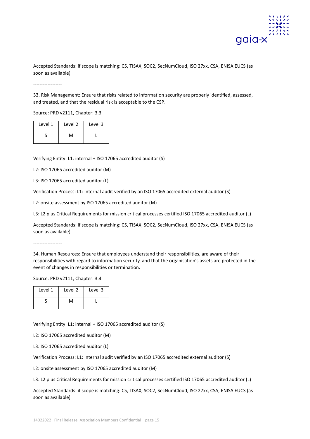

Accepted Standards: if scope is matching: C5, TISAX, SOC2, SecNumCloud, ISO 27xx, CSA, ENISA EUCS (as soon as available)

------------------

33. Risk Management: Ensure that risks related to information security are properly identified, assessed, and treated, and that the residual risk is acceptable to the CSP.

Source: PRD v2111, Chapter: 3.3

| Level 1 | Level 2 | Level 3 |
|---------|---------|---------|
|         | ٦٨      |         |

Verifying Entity: L1: internal + ISO 17065 accredited auditor (S)

L2: ISO 17065 accredited auditor (M)

L3: ISO 17065 accredited auditor (L)

Verification Process: L1: internal audit verified by an ISO 17065 accredited external auditor (S)

L2: onsite assessment by ISO 17065 accredited auditor (M)

L3: L2 plus Critical Requirements for mission critical processes certified ISO 17065 accredited auditor (L)

Accepted Standards: if scope is matching: C5, TISAX, SOC2, SecNumCloud, ISO 27xx, CSA, ENISA EUCS (as soon as available)

------------------

34. Human Resources: Ensure that employees understand their responsibilities, are aware of their responsibilities with regard to information security, and that the organisation's assets are protected in the event of changes in responsibilities or termination.

Source: PRD v2111, Chapter: 3.4

| Level 1 | Level 2 | Level 3 |
|---------|---------|---------|
|         | ٨л      |         |

Verifying Entity: L1: internal + ISO 17065 accredited auditor (S)

L2: ISO 17065 accredited auditor (M)

L3: ISO 17065 accredited auditor (L)

Verification Process: L1: internal audit verified by an ISO 17065 accredited external auditor (S)

L2: onsite assessment by ISO 17065 accredited auditor (M)

L3: L2 plus Critical Requirements for mission critical processes certified ISO 17065 accredited auditor (L)

Accepted Standards: if scope is matching: C5, TISAX, SOC2, SecNumCloud, ISO 27xx, CSA, ENISA EUCS (as soon as available)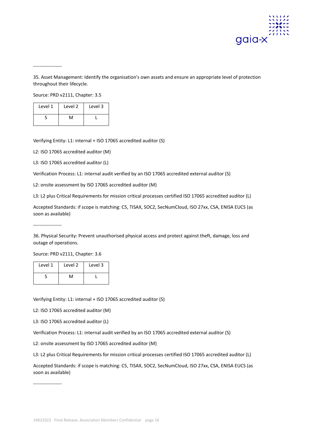

------------------

35. Asset Management: Identify the organisation's own assets and ensure an appropriate level of protection throughout their lifecycle.

Source: PRD v2111, Chapter: 3.5

| Level 1 | Level 2   | Level 3 |
|---------|-----------|---------|
|         | $\lambda$ |         |

Verifying Entity: L1: internal + ISO 17065 accredited auditor (S)

L2: ISO 17065 accredited auditor (M)

L3: ISO 17065 accredited auditor (L)

Verification Process: L1: internal audit verified by an ISO 17065 accredited external auditor (S)

L2: onsite assessment by ISO 17065 accredited auditor (M)

L3: L2 plus Critical Requirements for mission critical processes certified ISO 17065 accredited auditor (L)

Accepted Standards: if scope is matching: C5, TISAX, SOC2, SecNumCloud, ISO 27xx, CSA, ENISA EUCS (as soon as available)

36. Physical Security: Prevent unauthorised physical access and protect against theft, damage, loss and outage of operations.

Source: PRD v2111, Chapter: 3.6

------------------

| Level 1 | Level 2 | Level 3 |
|---------|---------|---------|
|         | м       |         |

Verifying Entity: L1: internal + ISO 17065 accredited auditor (S)

L2: ISO 17065 accredited auditor (M)

L3: ISO 17065 accredited auditor (L)

Verification Process: L1: internal audit verified by an ISO 17065 accredited external auditor (S)

L2: onsite assessment by ISO 17065 accredited auditor (M)

L3: L2 plus Critical Requirements for mission critical processes certified ISO 17065 accredited auditor (L)

Accepted Standards: if scope is matching: C5, TISAX, SOC2, SecNumCloud, ISO 27xx, CSA, ENISA EUCS (as soon as available)

------------------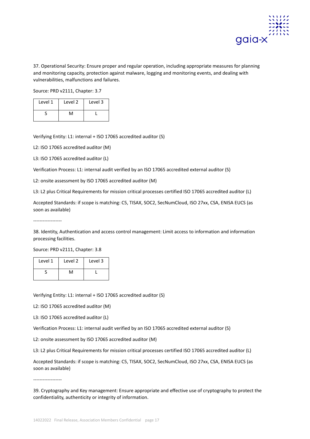

37. Operational Security: Ensure proper and regular operation, including appropriate measures for planning and monitoring capacity, protection against malware, logging and monitoring events, and dealing with vulnerabilities, malfunctions and failures.

Source: PRD v2111, Chapter: 3.7

| Level 1 | Level 2 | Level 3 |
|---------|---------|---------|
|         | ۱1      |         |

Verifying Entity: L1: internal + ISO 17065 accredited auditor (S)

L2: ISO 17065 accredited auditor (M)

L3: ISO 17065 accredited auditor (L)

Verification Process: L1: internal audit verified by an ISO 17065 accredited external auditor (S)

L2: onsite assessment by ISO 17065 accredited auditor (M)

L3: L2 plus Critical Requirements for mission critical processes certified ISO 17065 accredited auditor (L)

Accepted Standards: if scope is matching: C5, TISAX, SOC2, SecNumCloud, ISO 27xx, CSA, ENISA EUCS (as soon as available)

------------------

38. Identity, Authentication and access control management: Limit access to information and information processing facilities.

Source: PRD v2111, Chapter: 3.8

| Level 1 | Level 2 | Level 3 |
|---------|---------|---------|
|         | ٨A      |         |

Verifying Entity: L1: internal + ISO 17065 accredited auditor (S)

L2: ISO 17065 accredited auditor (M)

L3: ISO 17065 accredited auditor (L)

Verification Process: L1: internal audit verified by an ISO 17065 accredited external auditor (S)

L2: onsite assessment by ISO 17065 accredited auditor (M)

L3: L2 plus Critical Requirements for mission critical processes certified ISO 17065 accredited auditor (L)

Accepted Standards: if scope is matching: C5, TISAX, SOC2, SecNumCloud, ISO 27xx, CSA, ENISA EUCS (as soon as available)

------------------

<sup>39.</sup> Cryptography and Key management: Ensure appropriate and effective use of cryptography to protect the confidentiality, authenticity or integrity of information.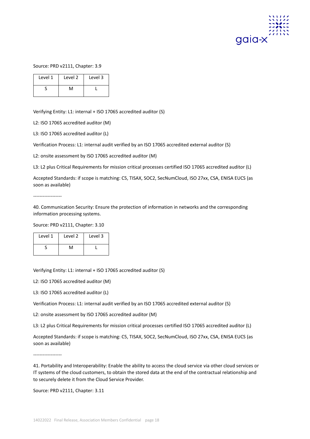

# Source: PRD v2111, Chapter: 3.9

| Level 1 | Level 2 | Level 3 |
|---------|---------|---------|
|         | ٨л      |         |

Verifying Entity: L1: internal + ISO 17065 accredited auditor (S)

L2: ISO 17065 accredited auditor (M)

L3: ISO 17065 accredited auditor (L)

Verification Process: L1: internal audit verified by an ISO 17065 accredited external auditor (S)

L2: onsite assessment by ISO 17065 accredited auditor (M)

L3: L2 plus Critical Requirements for mission critical processes certified ISO 17065 accredited auditor (L)

Accepted Standards: if scope is matching: C5, TISAX, SOC2, SecNumCloud, ISO 27xx, CSA, ENISA EUCS (as soon as available)

------------------

40. Communication Security: Ensure the protection of information in networks and the corresponding information processing systems.

Source: PRD v2111, Chapter: 3.10

| Level 1 | Level 2   | Level 3 |
|---------|-----------|---------|
|         | $\Lambda$ |         |

Verifying Entity: L1: internal + ISO 17065 accredited auditor (S)

L2: ISO 17065 accredited auditor (M)

L3: ISO 17065 accredited auditor (L)

Verification Process: L1: internal audit verified by an ISO 17065 accredited external auditor (S)

L2: onsite assessment by ISO 17065 accredited auditor (M)

L3: L2 plus Critical Requirements for mission critical processes certified ISO 17065 accredited auditor (L)

Accepted Standards: if scope is matching: C5, TISAX, SOC2, SecNumCloud, ISO 27xx, CSA, ENISA EUCS (as soon as available)

------------------

Source: PRD v2111, Chapter: 3.11

<sup>41.</sup> Portability and Interoperability: Enable the ability to access the cloud service via other cloud services or IT systems of the cloud customers, to obtain the stored data at the end of the contractual relationship and to securely delete it from the Cloud Service Provider.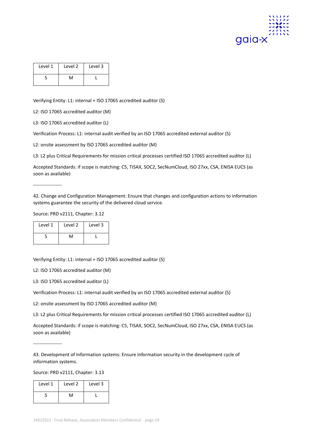

| Level 1 | Level 2 | Level 3 |
|---------|---------|---------|
|         | ٨٨      |         |

Verifying Entity: L1: internal + ISO 17065 accredited auditor (S)

L2: ISO 17065 accredited auditor (M)

L3: ISO 17065 accredited auditor (L)

Verification Process: L1: internal audit verified by an ISO 17065 accredited external auditor (S)

L2: onsite assessment by ISO 17065 accredited auditor (M)

L3: L2 plus Critical Requirements for mission critical processes certified ISO 17065 accredited auditor (L)

Accepted Standards: if scope is matching: C5, TISAX, SOC2, SecNumCloud, ISO 27xx, CSA, ENISA EUCS (as soon as available)

------------------

42. Change and Configuration Management: Ensure that changes and configuration actions to information systems guarantee the security of the delivered cloud service.

Source: PRD v2111, Chapter: 3.12

| Level 1 | Level 2 | Level 3 |
|---------|---------|---------|
|         | ٨л      |         |

Verifying Entity: L1: internal + ISO 17065 accredited auditor (S)

L2: ISO 17065 accredited auditor (M)

L3: ISO 17065 accredited auditor (L)

Verification Process: L1: internal audit verified by an ISO 17065 accredited external auditor (S)

L2: onsite assessment by ISO 17065 accredited auditor (M)

L3: L2 plus Critical Requirements for mission critical processes certified ISO 17065 accredited auditor (L)

Accepted Standards: if scope is matching: C5, TISAX, SOC2, SecNumCloud, ISO 27xx, CSA, ENISA EUCS (as soon as available)

------------------

43. Development of Information systems: Ensure information security in the development cycle of information systems.

Source: PRD v2111, Chapter: 3.13

| Level 1 | Level 2 | Level 3 |
|---------|---------|---------|
|         | ٦Л      |         |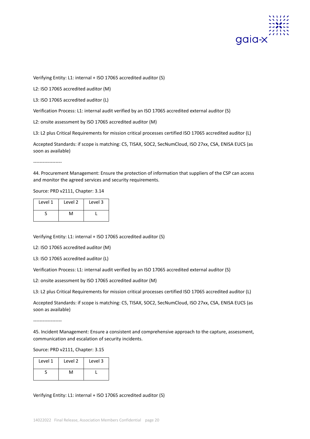

Verifying Entity: L1: internal + ISO 17065 accredited auditor (S)

L2: ISO 17065 accredited auditor (M)

L3: ISO 17065 accredited auditor (L)

Verification Process: L1: internal audit verified by an ISO 17065 accredited external auditor (S)

L2: onsite assessment by ISO 17065 accredited auditor (M)

L3: L2 plus Critical Requirements for mission critical processes certified ISO 17065 accredited auditor (L)

Accepted Standards: if scope is matching: C5, TISAX, SOC2, SecNumCloud, ISO 27xx, CSA, ENISA EUCS (as soon as available)

------------------

44. Procurement Management: Ensure the protection of information that suppliers of the CSP can access and monitor the agreed services and security requirements.

Source: PRD v2111, Chapter: 3.14

| Level 1 | Level 2 | Level 3 |
|---------|---------|---------|
|         | ٨л      |         |

Verifying Entity: L1: internal + ISO 17065 accredited auditor (S)

L2: ISO 17065 accredited auditor (M)

L3: ISO 17065 accredited auditor (L)

Verification Process: L1: internal audit verified by an ISO 17065 accredited external auditor (S)

L2: onsite assessment by ISO 17065 accredited auditor (M)

L3: L2 plus Critical Requirements for mission critical processes certified ISO 17065 accredited auditor (L)

Accepted Standards: if scope is matching: C5, TISAX, SOC2, SecNumCloud, ISO 27xx, CSA, ENISA EUCS (as soon as available)

------------------

45. Incident Management: Ensure a consistent and comprehensive approach to the capture, assessment, communication and escalation of security incidents.

Source: PRD v2111, Chapter: 3.15

| Level 1 | Level 2 | Level 3 |
|---------|---------|---------|
|         |         |         |

# Verifying Entity: L1: internal + ISO 17065 accredited auditor (S)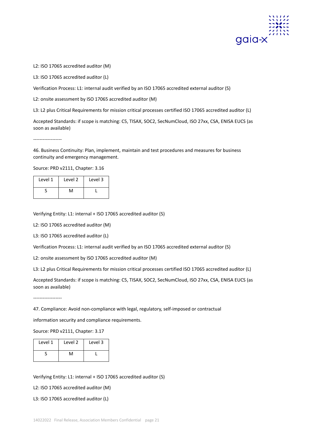

L2: ISO 17065 accredited auditor (M)

L3: ISO 17065 accredited auditor (L)

Verification Process: L1: internal audit verified by an ISO 17065 accredited external auditor (S)

L2: onsite assessment by ISO 17065 accredited auditor (M)

L3: L2 plus Critical Requirements for mission critical processes certified ISO 17065 accredited auditor (L)

Accepted Standards: if scope is matching: C5, TISAX, SOC2, SecNumCloud, ISO 27xx, CSA, ENISA EUCS (as soon as available)

------------------

46. Business Continuity: Plan, implement, maintain and test procedures and measures for business continuity and emergency management.

Source: PRD v2111, Chapter: 3.16

| Level 1 | Level 2 | Level 3 |
|---------|---------|---------|
|         | ٨л      |         |

Verifying Entity: L1: internal + ISO 17065 accredited auditor (S)

L2: ISO 17065 accredited auditor (M)

L3: ISO 17065 accredited auditor (L)

Verification Process: L1: internal audit verified by an ISO 17065 accredited external auditor (S)

L2: onsite assessment by ISO 17065 accredited auditor (M)

L3: L2 plus Critical Requirements for mission critical processes certified ISO 17065 accredited auditor (L)

Accepted Standards: if scope is matching: C5, TISAX, SOC2, SecNumCloud, ISO 27xx, CSA, ENISA EUCS (as soon as available)

------------------

47. Compliance: Avoid non-compliance with legal, regulatory, self-imposed or contractual

information security and compliance requirements.

Source: PRD v2111, Chapter: 3.17

| Level 1 | Level 2 | Level 3 |
|---------|---------|---------|
|         | ٨Λ      |         |

Verifying Entity: L1: internal + ISO 17065 accredited auditor (S)

L2: ISO 17065 accredited auditor (M)

L3: ISO 17065 accredited auditor (L)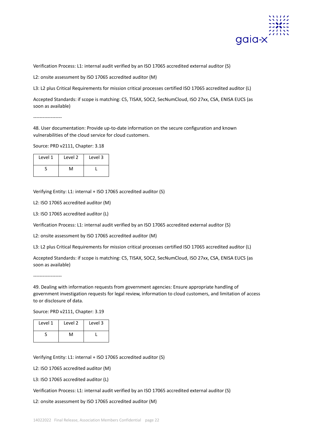

Verification Process: L1: internal audit verified by an ISO 17065 accredited external auditor (S)

L2: onsite assessment by ISO 17065 accredited auditor (M)

L3: L2 plus Critical Requirements for mission critical processes certified ISO 17065 accredited auditor (L)

Accepted Standards: if scope is matching: C5, TISAX, SOC2, SecNumCloud, ISO 27xx, CSA, ENISA EUCS (as soon as available)

------------------

48. User documentation: Provide up-to-date information on the secure configuration and known vulnerabilities of the cloud service for cloud customers.

Source: PRD v2111, Chapter: 3.18

| Level 1 | Level 2 | Level 3 |
|---------|---------|---------|
|         | ۸۸      |         |

Verifying Entity: L1: internal + ISO 17065 accredited auditor (S)

L2: ISO 17065 accredited auditor (M)

L3: ISO 17065 accredited auditor (L)

Verification Process: L1: internal audit verified by an ISO 17065 accredited external auditor (S)

L2: onsite assessment by ISO 17065 accredited auditor (M)

L3: L2 plus Critical Requirements for mission critical processes certified ISO 17065 accredited auditor (L)

Accepted Standards: if scope is matching: C5, TISAX, SOC2, SecNumCloud, ISO 27xx, CSA, ENISA EUCS (as soon as available)

------------------

49. Dealing with information requests from government agencies: Ensure appropriate handling of government investigation requests for legal review, information to cloud customers, and limitation of access to or disclosure of data.

Source: PRD v2111, Chapter: 3.19

| Level 1 | Level 2 | Level 3 |
|---------|---------|---------|
|         | N۸      |         |

Verifying Entity: L1: internal + ISO 17065 accredited auditor (S)

L2: ISO 17065 accredited auditor (M)

L3: ISO 17065 accredited auditor (L)

Verification Process: L1: internal audit verified by an ISO 17065 accredited external auditor (S)

L2: onsite assessment by ISO 17065 accredited auditor (M)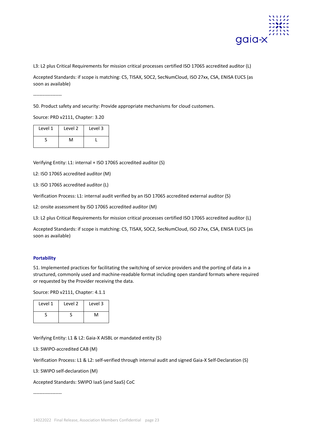

L3: L2 plus Critical Requirements for mission critical processes certified ISO 17065 accredited auditor (L)

Accepted Standards: if scope is matching: C5, TISAX, SOC2, SecNumCloud, ISO 27xx, CSA, ENISA EUCS (as soon as available)

------------------

50. Product safety and security: Provide appropriate mechanisms for cloud customers.

Source: PRD v2111, Chapter: 3.20

| Level 1 | Level 2 | Level 3 |
|---------|---------|---------|
|         | ۸л      |         |

Verifying Entity: L1: internal + ISO 17065 accredited auditor (S)

L2: ISO 17065 accredited auditor (M)

L3: ISO 17065 accredited auditor (L)

Verification Process: L1: internal audit verified by an ISO 17065 accredited external auditor (S)

L2: onsite assessment by ISO 17065 accredited auditor (M)

L3: L2 plus Critical Requirements for mission critical processes certified ISO 17065 accredited auditor (L)

Accepted Standards: if scope is matching: C5, TISAX, SOC2, SecNumCloud, ISO 27xx, CSA, ENISA EUCS (as soon as available)

# **Portability**

51. Implemented practices for facilitating the switching of service providers and the porting of data in a structured, commonly used and machine-readable format including open standard formats where required or requested by the Provider receiving the data.

Source: PRD v2111, Chapter: 4.1.1

| Level 1 | Level 2 | Level 3 |
|---------|---------|---------|
|         |         |         |

Verifying Entity: L1 & L2: Gaia-X AISBL or mandated entity (S)

L3: SWIPO-accredited CAB (M)

Verification Process: L1 & L2: self-verified through internal audit and signed Gaia-X Self-Declaration (S)

L3: SWIPO self-declaration (M)

Accepted Standards: SWIPO IaaS (and SaaS) CoC

------------------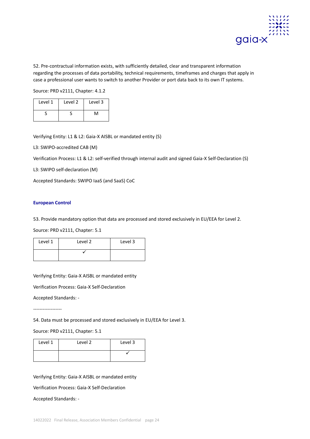

52. Pre-contractual information exists, with sufficiently detailed, clear and transparent information regarding the processes of data portability, technical requirements, timeframes and charges that apply in case a professional user wants to switch to another Provider or port data back to its own IT systems.

Source: PRD v2111, Chapter: 4.1.2

| Level 1 | Level 2 | Level 3 |
|---------|---------|---------|
|         |         |         |

Verifying Entity: L1 & L2: Gaia-X AISBL or mandated entity (S)

L3: SWIPO-accredited CAB (M)

Verification Process: L1 & L2: self-verified through internal audit and signed Gaia-X Self-Declaration (S)

L3: SWIPO self-declaration (M)

Accepted Standards: SWIPO IaaS (and SaaS) CoC

# **European Control**

53. Provide mandatory option that data are processed and stored exclusively in EU/EEA for Level 2.

Source: PRD v2111, Chapter: 5.1

| Level 1 | Level 2 | Level 3 |
|---------|---------|---------|
|         |         |         |

Verifying Entity: Gaia-X AISBL or mandated entity

Verification Process: Gaia-X Self-Declaration

Accepted Standards: -

------------------

54. Data must be processed and stored exclusively in EU/EEA for Level 3.

# Source: PRD v2111, Chapter: 5.1

| Level 1 | Level 2 | Level 3 |
|---------|---------|---------|
|         |         |         |

Verifying Entity: Gaia-X AISBL or mandated entity

Verification Process: Gaia-X Self-Declaration

Accepted Standards: -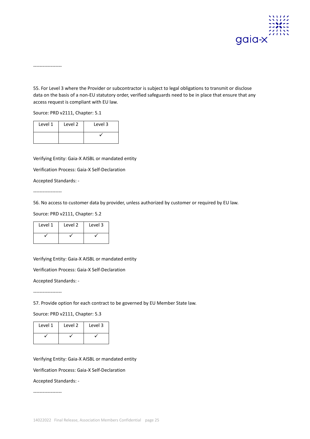

------------------

55. For Level 3 where the Provider or subcontractor is subject to legal obligations to transmit or disclose data on the basis of a non-EU statutory order, verified safeguards need to be in place that ensure that any access request is compliant with EU law.

Source: PRD v2111, Chapter: 5.1

| Level 1 | Level 2 | Level 3 |
|---------|---------|---------|
|         |         |         |

Verifying Entity: Gaia-X AISBL or mandated entity

Verification Process: Gaia-X Self-Declaration

Accepted Standards: -

------------------

56. No access to customer data by provider, unless authorized by customer or required by EU law.

Source: PRD v2111, Chapter: 5.2

| Level 1 | Level 2 | Level 3 |
|---------|---------|---------|
|         |         |         |

Verifying Entity: Gaia-X AISBL or mandated entity

Verification Process: Gaia-X Self-Declaration

Accepted Standards: -

------------------

57. Provide option for each contract to be governed by EU Member State law.

Source: PRD v2111, Chapter: 5.3

| Level 1 | Level 2 | Level 3 |
|---------|---------|---------|
|         |         |         |

Verifying Entity: Gaia-X AISBL or mandated entity

Verification Process: Gaia-X Self-Declaration

Accepted Standards: -

------------------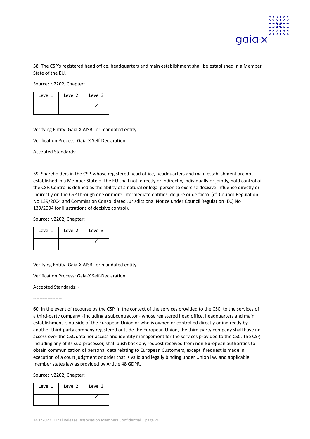

58. The CSP's registered head office, headquarters and main establishment shall be established in a Member State of the EU.

Source: v2202, Chapter:

| Level 1 | Level 2 | Level 3 |
|---------|---------|---------|
|         |         |         |

Verifying Entity: Gaia-X AISBL or mandated entity

Verification Process: Gaia-X Self-Declaration

Accepted Standards: -

------------------

59. Shareholders in the CSP, whose registered head office, headquarters and main establishment are not established in a Member State of the EU shall not, directly or indirectly, individually or jointly, hold control of the CSP. Control is defined as the ability of a natural or legal person to exercise decisive influence directly or indirectly on the CSP through one or more intermediate entities, de jure or de facto. (cf. Council Regulation No 139/2004 and Commission Consolidated Jurisdictional Notice under Council Regulation (EC) No 139/2004 for illustrations of decisive control).

Source: v2202, Chapter:

| Level 1 | Level 2 | Level 3 |
|---------|---------|---------|
|         |         |         |

Verifying Entity: Gaia-X AISBL or mandated entity

Verification Process: Gaia-X Self-Declaration

Accepted Standards: -

------------------

60. In the event of recourse by the CSP, in the context of the services provided to the CSC, to the services of a third-party company - including a subcontractor - whose registered head office, headquarters and main establishment is outside of the European Union or who is owned or controlled directly or indirectly by another third-party company registered outside the European Union, the third-party company shall have no access over the CSC data nor access and identity management for the services provided to the CSC. The CSP, including any of its sub-processor, shall push back any request received from non-European authorities to obtain communication of personal data relating to European Customers, except if request is made in execution of a court judgment or order that is valid and legally binding under Union law and applicable member states law as provided by Article 48 GDPR.

Source: v2202, Chapter:

| Level 1 | Level 2 | Level 3 |
|---------|---------|---------|
|         |         |         |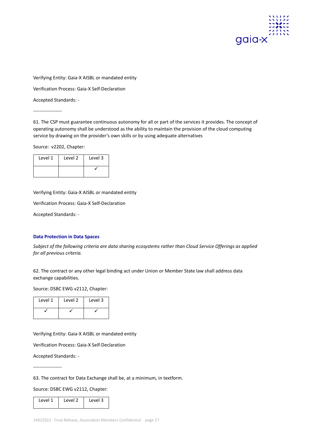

Verification Process: Gaia-X Self-Declaration

Accepted Standards: -

------------------

61. The CSP must guarantee continuous autonomy for all or part of the services it provides. The concept of operating autonomy shall be understood as the ability to maintain the provision of the cloud computing service by drawing on the provider's own skills or by using adequate alternatives

Source: v2202, Chapter:

| Level 1 | Level 2 | Level 3 |
|---------|---------|---------|
|         |         |         |

Verifying Entity: Gaia-X AISBL or mandated entity

Verification Process: Gaia-X Self-Declaration

Accepted Standards: -

# **Data Protection in Data Spaces**

*Subject of the following criteria are data sharing ecosystems rather than Cloud Service Offerings as applied for all previous criteria.*

62. The contract or any other legal binding act under Union or Member State law shall address data exchange capabilities.

Source: DSBC EWG v2112, Chapter:

| Level 1 | Level 2 | Level 3 |
|---------|---------|---------|
|         |         |         |

Verifying Entity: Gaia-X AISBL or mandated entity

Verification Process: Gaia-X Self-Declaration

Accepted Standards: -

------------------

63. The contract for Data Exchange shall be, at a minimum, in textform.

Source: DSBC EWG v2112, Chapter:

| Level 1 | Level 2 | Level 3 |
|---------|---------|---------|
|         |         |         |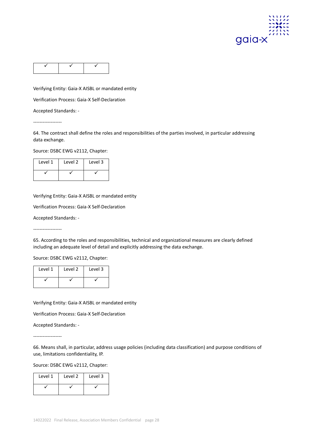

Verification Process: Gaia-X Self-Declaration

Accepted Standards: -

------------------

64. The contract shall define the roles and responsibilities of the parties involved, in particular addressing data exchange.

Source: DSBC EWG v2112, Chapter:

| Level 1 | Level 2 | Level 3 |
|---------|---------|---------|
|         |         |         |

Verifying Entity: Gaia-X AISBL or mandated entity

Verification Process: Gaia-X Self-Declaration

Accepted Standards: -

------------------

65. According to the roles and responsibilities, technical and organizational measures are clearly defined including an adequate level of detail and explicitly addressing the data exchange.

Source: DSBC EWG v2112, Chapter:

| Level 1 | Level 2 | Level 3 |
|---------|---------|---------|
|         |         |         |

Verifying Entity: Gaia-X AISBL or mandated entity

Verification Process: Gaia-X Self-Declaration

Accepted Standards: -

------------------

66. Means shall, in particular, address usage policies (including data classification) and purpose conditions of use, limitations confidentiality, IP.

Source: DSBC EWG v2112, Chapter:

| Level 1 | Level 2 | Level 3 |
|---------|---------|---------|
|         |         |         |